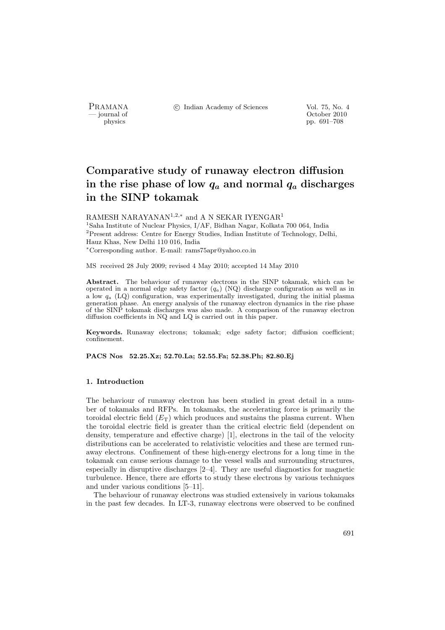PRAMANA <sup>C</sup> Indian Academy of Sciences Vol. 75, No. 4<br>
— journal of Cortober 2010

position of the contract of the contract of the contract of the contract of the contract of the contract of the contract of the contract of the contract of the contract of the contract of the contract of the contract of th pp. 691–708

# Comparative study of runaway electron diffusion in the rise phase of low  $q_a$  and normal  $q_a$  discharges in the SINP tokamak

RAMESH NARAYANAN<sup>1,2,\*</sup> and A N SEKAR IYENGAR<sup>1</sup> <sup>1</sup>Saha Institute of Nuclear Physics, I/AF, Bidhan Nagar, Kolkata 700 064, India <sup>2</sup>Present address: Centre for Energy Studies, Indian Institute of Technology, Delhi, Hauz Khas, New Delhi 110 016, India <sup>∗</sup>Corresponding author. E-mail: rams75apr@yahoo.co.in

MS received 28 July 2009; revised 4 May 2010; accepted 14 May 2010

Abstract. The behaviour of runaway electrons in the SINP tokamak, which can be operated in a normal edge safety factor  $(q_a)$  (NQ) discharge configuration as well as in a low  $q_a$  (LQ) configuration, was experimentally investigated, during the initial plasma generation phase. An energy analysis of the runaway electron dynamics in the rise phase of the SINP tokamak discharges was also made. A comparison of the runaway electron diffusion coefficients in NQ and LQ is carried out in this paper.

Keywords. Runaway electrons; tokamak; edge safety factor; diffusion coefficient; confinement.

PACS Nos 52.25.Xz; 52.70.La; 52.55.Fa; 52.38.Ph; 82.80.Ej

## 1. Introduction

The behaviour of runaway electron has been studied in great detail in a number of tokamaks and RFPs. In tokamaks, the accelerating force is primarily the toroidal electric field  $(E_T)$  which produces and sustains the plasma current. When the toroidal electric field is greater than the critical electric field (dependent on density, temperature and effective charge) [1], electrons in the tail of the velocity distributions can be accelerated to relativistic velocities and these are termed runaway electrons. Confinement of these high-energy electrons for a long time in the tokamak can cause serious damage to the vessel walls and surrounding structures, especially in disruptive discharges [2–4]. They are useful diagnostics for magnetic turbulence. Hence, there are efforts to study these electrons by various techniques and under various conditions [5–11].

The behaviour of runaway electrons was studied extensively in various tokamaks in the past few decades. In LT-3, runaway electrons were observed to be confined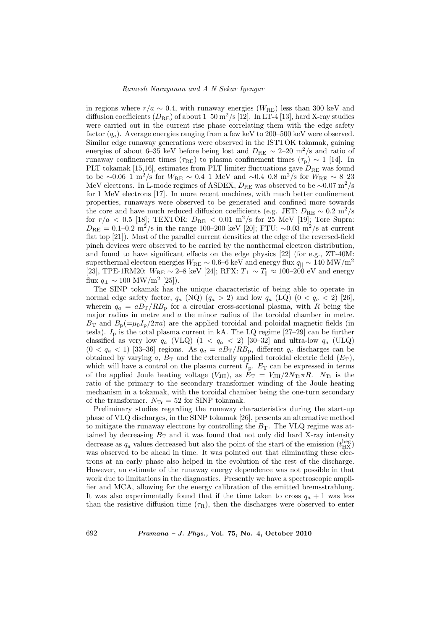in regions where  $r/a \sim 0.4$ , with runaway energies ( $W_{\text{RE}}$ ) less than 300 keV and diffusion coefficients  $(D_{\text{RE}})$  of about 1–50 m<sup>2</sup>/s [12]. In LT-4 [13], hard X-ray studies were carried out in the current rise phase correlating them with the edge safety factor  $(q_a)$ . Average energies ranging from a few keV to 200–500 keV were observed. Similar edge runaway generations were observed in the ISTTOK tokamak, gaining energies of about 6–35 keV before being lost and  $D_{\text{RE}} \sim 2{\text -}20 \text{ m}^2/\text{s}$  and ratio of runaway confinement times ( $\tau_{RE}$ ) to plasma confinement times ( $\tau_{p}$ ) ~ 1 [14]. In PLT tokamak [15,16], estimates from PLT limiter fluctuations gave  $D_{\text{RE}}$  was found to be ∼0.06–1 m<sup>2</sup>/s for  $W_{\text{RE}} \sim 0.4$ –1 MeV and ∼0.4–0.8 m<sup>2</sup>/s for  $W_{\text{RE}} \sim 8$ –23 MeV electrons. In L-mode regimes of ASDEX,  $D_{RE}$  was observed to be ~0.07 m<sup>2</sup>/s for 1 MeV electrons [17]. In more recent machines, with much better confinement properties, runaways were observed to be generated and confined more towards the core and have much reduced diffusion coefficients (e.g. JET:  $D_{RE} \sim 0.2 \text{ m}^2/\text{s}$ for  $r/a < 0.5$  [18]; TEXTOR:  $D_{RE} < 0.01$  m<sup>2</sup>/s for 25 MeV [19]; Tore Supra:  $D_{\text{RE}} = 0.1 - 0.2 \text{ m}^2/\text{s}$  in the range 100–200 keV [20]; FTU: ~0.03 m<sup>2</sup>/s at current flat top [21]). Most of the parallel current densities at the edge of the reversed-field pinch devices were observed to be carried by the nonthermal electron distribution, and found to have significant effects on the edge physics [22] (for e.g., ZT-40M: superthermal electron energies  $W_{\text{RE}} \sim 0.6-6$  keV and energy flux  $q_{\parallel} \sim 140$  MW/m<sup>2</sup> [23], TPE-1RM20:  $W_{\text{RE}} \sim 2-8$  keV [24]; RFX:  $T_{\perp} \sim T_{\parallel} \approx 100-200$  eV and energy flux  $q_{\perp} \sim 100 \text{ MW/m}^2 \text{ [25]}.$ 

The SINP tokamak has the unique characteristic of being able to operate in normal edge safety factor,  $q_a$  (NQ)  $(q_a > 2)$  and low  $q_a$  (LQ)  $(0 < q_a < 2)$  [26], wherein  $q_a = aB_T/RB_p$  for a circular cross-sectional plasma, with R being the major radius in metre and a the minor radius of the toroidal chamber in metre.  $B_T$  and  $B_p(=\mu_0I_p/2\pi a)$  are the applied toroidal and poloidal magnetic fields (in tesla).  $I_p$  is the total plasma current in kA. The LQ regime [27–29] can be further classified as very low  $q_a$  (VLQ)  $(1 < q_a < 2)$  [30–32] and ultra-low  $q_a$  (ULQ)  $(0 < q_a < 1)$  [33–36] regions. As  $q_a = aB_T/RB_p$ , different  $q_a$  discharges can be obtained by varying a,  $B_T$  and the externally applied toroidal electric field  $(E_T)$ , which will have a control on the plasma current  $I_p$ .  $E_T$  can be expressed in terms of the applied Joule heating voltage  $(V_{\text{JH}})$ , as  $E_{\text{T}} = V_{\text{JH}}/2N_{\text{Tr}}\pi R$ .  $N_{\text{Tr}}$  is the ratio of the primary to the secondary transformer winding of the Joule heating mechanism in a tokamak, with the toroidal chamber being the one-turn secondary of the transformer.  $N_{\text{Tr}} = 52$  for SINP tokamak.

Preliminary studies regarding the runaway characteristics during the start-up phase of VLQ discharges, in the SINP tokamak [26], presents an alternative method to mitigate the runaway electrons by controlling the  $B<sub>T</sub>$ . The VLQ regime was attained by decreasing  $B_T$  and it was found that not only did hard X-ray intensity decrease as  $q_a$  values decreased but also the point of the start of the emission  $(t_{\rm HX}^{\rm beg})$ was observed to be ahead in time. It was pointed out that eliminating these electrons at an early phase also helped in the evolution of the rest of the discharge. However, an estimate of the runaway energy dependence was not possible in that work due to limitations in the diagnostics. Presently we have a spectroscopic amplifier and MCA, allowing for the energy calibration of the emitted bremsstrahlung. It was also experimentally found that if the time taken to cross  $q_a + 1$  was less than the resistive diffusion time  $(\tau_R)$ , then the discharges were observed to enter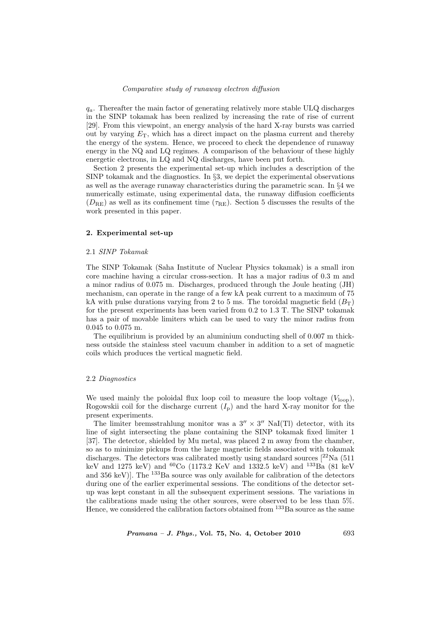$q_a$ . Thereafter the main factor of generating relatively more stable ULQ discharges in the SINP tokamak has been realized by increasing the rate of rise of current [29]. From this viewpoint, an energy analysis of the hard X-ray bursts was carried out by varying  $E_T$ , which has a direct impact on the plasma current and thereby the energy of the system. Hence, we proceed to check the dependence of runaway energy in the NQ and LQ regimes. A comparison of the behaviour of these highly energetic electrons, in LQ and NQ discharges, have been put forth.

Section 2 presents the experimental set-up which includes a description of the SINP tokamak and the diagnostics. In §3, we depict the experimental observations as well as the average runaway characteristics during the parametric scan. In §4 we numerically estimate, using experimental data, the runaway diffusion coefficients  $(D_{\text{RE}})$  as well as its confinement time  $(\tau_{\text{RE}})$ . Section 5 discusses the results of the work presented in this paper.

## 2. Experimental set-up

## 2.1 SINP Tokamak

The SINP Tokamak (Saha Institute of Nuclear Physics tokamak) is a small iron core machine having a circular cross-section. It has a major radius of 0.3 m and a minor radius of 0.075 m. Discharges, produced through the Joule heating (JH) mechanism, can operate in the range of a few kA peak current to a maximum of 75 kA with pulse durations varying from 2 to 5 ms. The toroidal magnetic field  $(B_T)$ for the present experiments has been varied from 0.2 to 1.3 T. The SINP tokamak has a pair of movable limiters which can be used to vary the minor radius from 0.045 to 0.075 m.

The equilibrium is provided by an aluminium conducting shell of 0.007 m thickness outside the stainless steel vacuum chamber in addition to a set of magnetic coils which produces the vertical magnetic field.

## 2.2 Diagnostics

We used mainly the poloidal flux loop coil to measure the loop voltage  $(V_{\text{loop}})$ , Rogowskii coil for the discharge current  $(I_p)$  and the hard X-ray monitor for the present experiments.

The limiter bremsstrahlung monitor was a  $3'' \times 3''$  NaI(Tl) detector, with its line of sight intersecting the plane containing the SINP tokamak fixed limiter 1 [37]. The detector, shielded by Mu metal, was placed 2 m away from the chamber, so as to minimize pickups from the large magnetic fields associated with tokamak discharges. The detectors was calibrated mostly using standard sources  $[{}^{22}Na$  (511 keV and 1275 keV) and <sup>60</sup>Co (1173.2 KeV and 1332.5 keV) and <sup>133</sup>Ba (81 keV) and 356 keV)]. The  $^{133}$ Ba source was only available for calibration of the detectors during one of the earlier experimental sessions. The conditions of the detector setup was kept constant in all the subsequent experiment sessions. The variations in the calibrations made using the other sources, were observed to be less than 5%. Hence, we considered the calibration factors obtained from  $^{133}$ Ba source as the same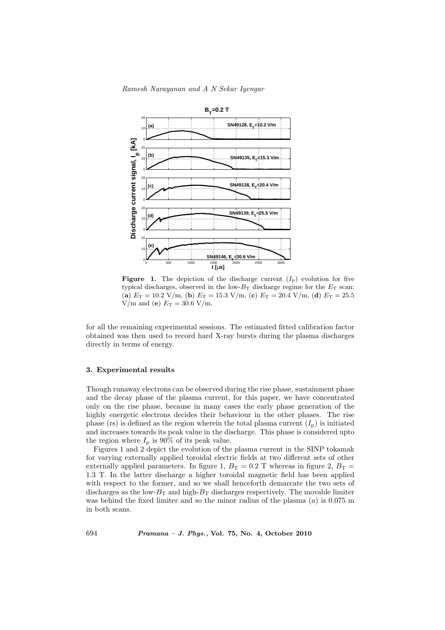

**Figure 1.** The depiction of the discharge current  $(I_p)$  evolution for five typical discharges, observed in the low- $B_T$  discharge regime for the  $E_T$  scan: (a)  $E_T = 10.2$  V/m, (b)  $E_T = 15.3$  V/m, (c)  $E_T = 20.4$  V/m, (d)  $E_T = 25.5$ V/m and (e)  $E_T = 30.6$  V/m.

for all the remaining experimental sessions. The estimated fitted calibration factor obtained was then used to record hard X-ray bursts during the plasma discharges directly in terms of energy.

## 3. Experimental results

Though runaway electrons can be observed during the rise phase, sustainment phase and the decay phase of the plasma current, for this paper, we have concentrated only on the rise phase, because in many cases the early phase generation of the highly energetic electrons decides their behaviour in the other phases. The rise phase (rs) is defined as the region wherein the total plasma current  $(I_{\rm p})$  is initiated and increases towards its peak value in the discharge. This phase is considered upto the region where  $I_p$  is 90% of its peak value.

Figures 1 and 2 depict the evolution of the plasma current in the SINP tokamak for varying externally applied toroidal electric fields at two different sets of other externally applied parameters. In figure 1,  $B_T = 0.2$  T whereas in figure 2,  $B_T =$ 1.3 T. In the latter discharge a higher toroidal magnetic field has been applied with respect to the former, and so we shall henceforth demarcate the two sets of discharges as the low- $B_T$  and high- $B_T$  discharges respectively. The movable limiter was behind the fixed limiter and so the minor radius of the plasma  $(a)$  is 0.075 m in both scans.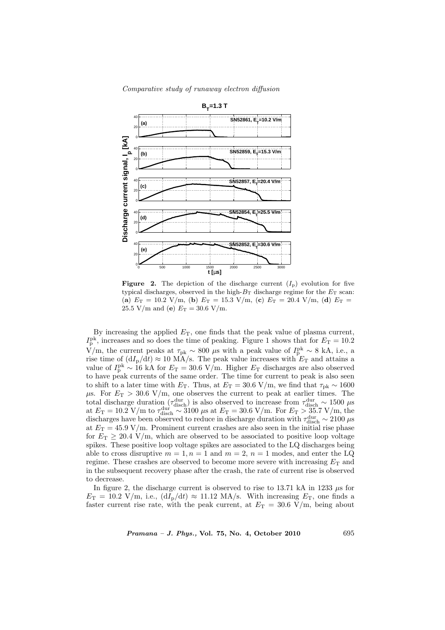Comparative study of runaway electron diffusion



**Figure 2.** The depiction of the discharge current  $(I_p)$  evolution for five typical discharges, observed in the high- $B_T$  discharge regime for the  $E_T$  scan: (a)  $E_T = 10.2$  V/m, (b)  $E_T = 15.3$  V/m, (c)  $E_T = 20.4$  V/m, (d)  $E_T =$ 25.5 V/m and (e)  $E_T = 30.6$  V/m.

By increasing the applied  $E_T$ , one finds that the peak value of plasma current,  $I_{\rm p}^{\rm pk}$ , increases and so does the time of peaking. Figure 1 shows that for  $E_{\rm T} = 10.2$  $\rm \bar{V}/m,$  the current peaks at  $\tau_{\rm pk} \sim 800 \mu s$  with a peak value of  $I_{\rm p}^{\rm pk} \sim 8$  kA, i.e., a rise time of  $(dI_p/dt) \approx 10$  MA/s. The peak value increases with  $E_T$  and attains a value of  $I_{\rm p}^{\rm pk} \sim 16$  kA for  $E_{\rm T} = 30.6$  V/m. Higher  $E_{\rm T}$  discharges are also observed to have peak currents of the same order. The time for current to peak is also seen to shift to a later time with  $E_T$ . Thus, at  $E_T = 30.6$  V/m, we find that  $\tau_{pk} \sim 1600$  $\mu$ s. For  $E_T > 30.6$  V/m, one observes the current to peak at earlier times. The total discharge duration  $(\tau_{\text{disch}}^{\text{dur}})$  is also observed to increase from  $\tau_{\text{disch}}^{\text{dur}} \sim 1500 \text{ }\mu\text{s}$ at  $E_T = 10.2$  V/m to  $\tau_{\text{disch}}^{\text{dur}} \sim 3100 \text{ }\mu\text{s}$  at  $E_T = 30.6$  V/m. For  $E_T > 35.7$  V/m, the discharges have been observed to reduce in discharge duration with  $\tau_{\text{disch}}^{\text{dur}} \sim 2100 \,\mu s$ at  $E_T = 45.9$  V/m. Prominent current crashes are also seen in the initial rise phase for  $E_T \geq 20.4$  V/m, which are observed to be associated to positive loop voltage spikes. These positive loop voltage spikes are associated to the LQ discharges being able to cross disruptive  $m = 1, n = 1$  and  $m = 2, n = 1$  modes, and enter the LQ regime. These crashes are observed to become more severe with increasing  $E_T$  and in the subsequent recovery phase after the crash, the rate of current rise is observed to decrease.

In figure 2, the discharge current is observed to rise to 13.71 kA in 1233  $\mu$ s for  $E_T = 10.2$  V/m, i.e.,  $(dI_p/dt) \approx 11.12$  MA/s. With increasing  $E_T$ , one finds a faster current rise rate, with the peak current, at  $E_T = 30.6$  V/m, being about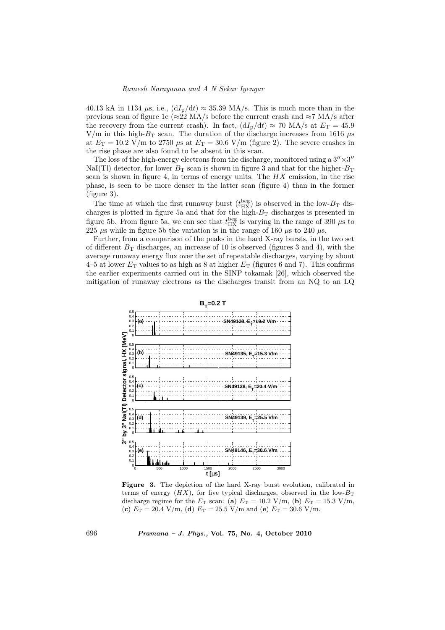40.13 kA in 1134  $\mu$ s, i.e.,  $(dI_p/dt) \approx 35.39$  MA/s. This is much more than in the previous scan of figure 1e (≈22 MA/s before the current crash and ≈7 MA/s after the recovery from the current crash). In fact,  $(dI_p/dt) \approx 70$  MA/s at  $E_T = 45.9$ V/m in this high- $B_T$  scan. The duration of the discharge increases from 1616  $\mu$ s at  $E_T = 10.2$  V/m to 2750  $\mu$ s at  $E_T = 30.6$  V/m (figure 2). The severe crashes in the rise phase are also found to be absent in this scan.

The loss of the high-energy electrons from the discharge, monitored using a  $3'' \times 3''$ NaI(Tl) detector, for lower  $B_T$  scan is shown in figure 3 and that for the higher- $B_T$ scan is shown in figure 4, in terms of energy units. The  $HX$  emission, in the rise phase, is seen to be more denser in the latter scan (figure 4) than in the former (figure 3).

The time at which the first runaway burst  $(t_{\text{HX}}^{\text{beg}})$  is observed in the low- $B_{\text{T}}$  discharges is plotted in figure 5a and that for the high- $B_T$  discharges is presented in figure 5b. From figure 5a, we can see that  $t_{\rm HX}^{\rm beg}$  is varying in the range of 390  $\mu$ s to 225  $\mu$ s while in figure 5b the variation is in the range of 160  $\mu$ s to 240  $\mu$ s.

Further, from a comparison of the peaks in the hard X-ray bursts, in the two set of different  $B_T$  discharges, an increase of 10 is observed (figures 3 and 4), with the average runaway energy flux over the set of repeatable discharges, varying by about 4–5 at lower  $E_T$  values to as high as 8 at higher  $E_T$  (figures 6 and 7). This confirms the earlier experiments carried out in the SINP tokamak [26], which observed the mitigation of runaway electrons as the discharges transit from an NQ to an LQ



Figure 3. The depiction of the hard X-ray burst evolution, calibrated in terms of energy  $(HX)$ , for five typical discharges, observed in the low- $B_T$ discharge regime for the  $E_T$  scan: (a)  $E_T = 10.2$  V/m, (b)  $E_T = 15.3$  V/m, (c)  $E_T = 20.4$  V/m, (d)  $E_T = 25.5$  V/m and (e)  $E_T = 30.6$  V/m.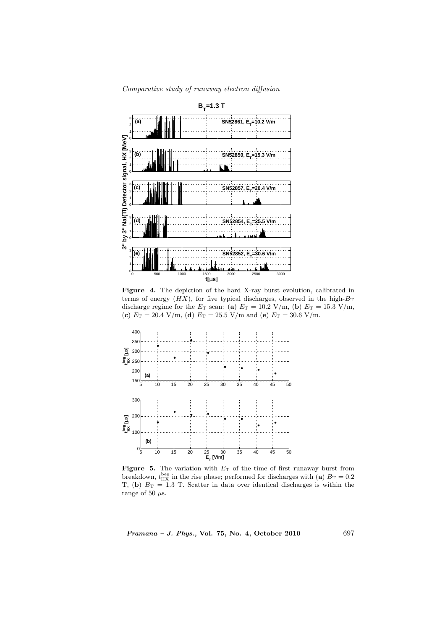

Figure 4. The depiction of the hard X-ray burst evolution, calibrated in terms of energy  $(HX)$ , for five typical discharges, observed in the high- $B_T$ discharge regime for the  $E_T$  scan: (a)  $E_T = 10.2$  V/m, (b)  $E_T = 15.3$  V/m, (c)  $E_T = 20.4$  V/m, (d)  $E_T = 25.5$  V/m and (e)  $E_T = 30.6$  V/m.



Figure 5. The variation with  $E_T$  of the time of first runaway burst from breakdown,  $t_{\rm HX}^{\rm beg}$  in the rise phase; performed for discharges with (a)  $B_{\rm T} = 0.2$ T, (b)  $B_T = 1.3$  T. Scatter in data over identical discharges is within the range of 50  $\mu$ s.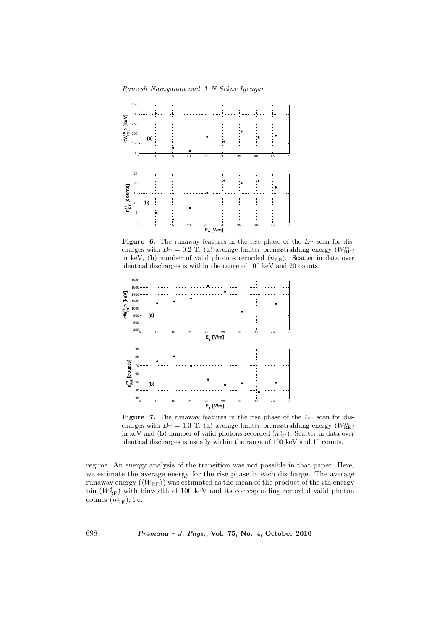

Figure 6. The runaway features in the rise phase of the  $E_T$  scan for discharges with  $B_T = 0.2$  T: (a) average limiter bremsstrahlung energy ( $W_{\text{RE}}^{\text{rs}}$ ) in keV, (b) number of valid photons recorded  $(n_{\text{RE}}^{\text{rs}})$ . Scatter in data over identical discharges is within the range of 100 keV and 20 counts.



**Figure 7.** The runaway features in the rise phase of the  $E_T$  scan for discharges with  $B_T = 1.3$  T: (a) average limiter bremsstrahlung energy ( $W_{\text{RE}}^{\text{rs}}$ ) in keV and (b) number of valid photons recorded  $(n_{RE}^{rs})$ . Scatter in data over identical discharges is usually within the range of 100 keV and 10 counts.

regime. An energy analysis of the transition was not possible in that paper. Here, we estimate the average energy for the rise phase in each discharge. The average runaway energy  $(\langle W_{\text{RE}} \rangle)$  was estimated as the mean of the product of the *i*th energy bin  $(W_{RE}^i)$  with binwidth of 100 keV and its corresponding recorded valid photon counts  $\overline{n}_{\text{RE}}^i$ ), i.e.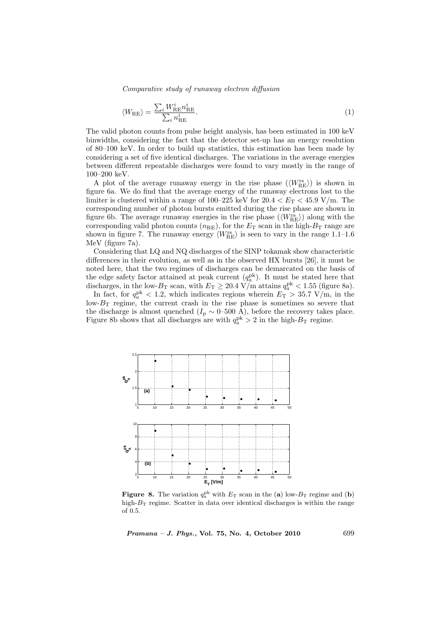$$
\langle W_{\rm RE} \rangle = \frac{\sum_{i} W_{\rm RE}^{i} n_{\rm RE}^{i}}{\sum_{i} n_{\rm RE}^{i}}.
$$
\n(1)

The valid photon counts from pulse height analysis, has been estimated in 100 keV binwidths, considering the fact that the detector set-up has an energy resolution of 80–100 keV. In order to build up statistics, this estimation has been made by considering a set of five identical discharges. The variations in the average energies between different repeatable discharges were found to vary mostly in the range of 100–200 keV.

A plot of the average runaway energy in the rise phase  $(\langle W_{\rm RE}^{\rm rs} \rangle)$  is shown in figure 6a. We do find that the average energy of the runaway electrons lost to the limiter is clustered within a range of 100–225 keV for  $20.4 < E_T < 45.9$  V/m. The corresponding number of photon bursts emitted during the rise phase are shown in figure 6b. The average runaway energies in the rise phase  $(\langle W_{\text{RE}}^{\text{rs}} \rangle)$  along with the corresponding valid photon counts  $(n_{\text{RE}})$ , for the  $E_{\text{T}}$  scan in the high- $B_{\text{T}}$  range are shown in figure 7. The runaway energy  $\langle W_{\rm RE}^{\rm rs} \rangle$  is seen to vary in the range 1.1–1.6 MeV (figure 7a).

Considering that LQ and NQ discharges of the SINP tokamak show characteristic differences in their evolution, as well as in the observed HX bursts [26], it must be noted here, that the two regimes of discharges can be demarcated on the basis of the edge safety factor attained at peak current  $(q_a^{\text{pk}})$ . It must be stated here that discharges, in the low- $B_T$  scan, with  $E_T \geq 20.4$  V/m attains  $q_a^{\rm pk} < 1.55$  (figure 8a).

In fact, for  $q_a^{\text{pk}} < 1.2$ , which indicates regions wherein  $E_T > 35.7 \text{ V/m}$ , in the low- $B_T$  regime, the current crash in the rise phase is sometimes so severe that the discharge is almost quenched ( $I_p \sim 0$ –500 A), before the recovery takes place. Figure 8b shows that all discharges are with  $q_a^{\text{pk}} > 2$  in the high- $B_T$  regime.



**Figure 8.** The variation  $q_a^{\text{pk}}$  with  $E_T$  scan in the (a) low- $B_T$  regime and (b) high- $B_T$  regime. Scatter in data over identical discharges is within the range of 0.5.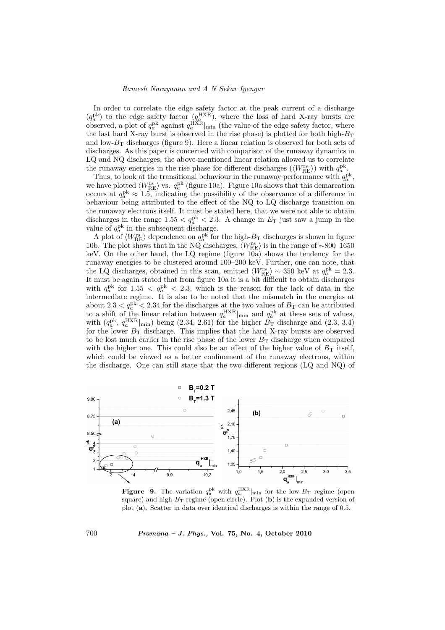In order to correlate the edge safety factor at the peak current of a discharge  $(q_a^{\rm pk})$  to the edge safety factor  $(q_a^{\rm HXR})$ , where the loss of hard X-ray bursts are observed, a plot of  $q_a^{\rm pk}$  against  $q_a^{\rm HXR}|_{\rm min}$  (the value of the edge safety factor, where the last hard X-ray burst is observed in the rise phase) is plotted for both high- $B_T$ and low- $B_T$  discharges (figure 9). Here a linear relation is observed for both sets of discharges. As this paper is concerned with comparison of the runaway dynamics in LQ and NQ discharges, the above-mentioned linear relation allowed us to correlate the runaway energies in the rise phase for different discharges  $(\langle W_{\rm RE}^{\rm rs} \rangle)$  with  $q_a^{\rm pk}$ .

Thus, to look at the transitional behaviour in the runaway performance with  $q_a^{\text{pk}}$ , we have plotted  $\langle W_{\text{RE}}^{\text{rs}} \rangle$  vs.  $q_a^{\text{pk}}$  (figure 10a). Figure 10a shows that this demarcation occurs at  $q_a^{\text{pk}} \approx 1.5$ , indicating the possibility of the observance of a difference in behaviour being attributed to the effect of the NQ to LQ discharge transition on the runaway electrons itself. It must be stated here, that we were not able to obtain discharges in the range  $1.55 < q_a^{\text{pk}} < 2.3$ . A change in  $E_T$  just saw a jump in the value of  $q_a^{\rm pk}$  in the subsequent discharge.

A plot of  $\langle W_{\rm RE}^{\rm rs} \rangle$  dependence on  $q_a^{\rm pk}$  for the high- $B_{\rm T}$  discharges is shown in figure 10b. The plot shows that in the NQ discharges,  $\langle W_{\rm RE}^{\rm rs} \rangle$  is in the range of ∼800–1650 keV. On the other hand, the LQ regime (figure 10a) shows the tendency for the runaway energies to be clustered around 100–200 keV. Further, one can note, that the LQ discharges, obtained in this scan, emitted  $\langle W_{\rm RE}^{\rm rs} \rangle \sim 350$  keV at  $q_a^{\rm pk} = 2.3$ . It must be again stated that from figure 10a it is a bit difficult to obtain discharges with  $q_a^{\rm pk}$  for 1.55  $\langle q_a^{\rm pk} \rangle$  and 4.3, which is the reason for the lack of data in the intermediate regime. It is also to be noted that the mismatch in the energies at about 2.3  $\lt q_a^{\text{pk}} \lt 2.34$  for the discharges at the two values of  $B_T$  can be attributed to a shift of the linear relation between  $q_a^{\text{HXR}}|_{\text{min}}$  and  $q_a^{\text{pk}}$  at these sets of values, with  $(q_a^{\text{pk}}, q_a^{\text{HXR}}|_{\text{min}})$  being (2.34, 2.61) for the higher  $B_T$  discharge and (2.3, 3.4) for the lower  $B_T$  discharge. This implies that the hard X-ray bursts are observed to be lost much earlier in the rise phase of the lower  $B_T$  discharge when compared with the higher one. This could also be an effect of the higher value of  $B<sub>T</sub>$  itself, which could be viewed as a better confinement of the runaway electrons, within the discharge. One can still state that the two different regions (LQ and NQ) of



**Figure 9.** The variation  $q_a^{\rm pk}$  with  $q_a^{\rm HXR}|_{\rm min}$  for the low- $B_{\rm T}$  regime (open square) and high- $B_T$  regime (open circle). Plot (b) is the expanded version of plot (a). Scatter in data over identical discharges is within the range of 0.5.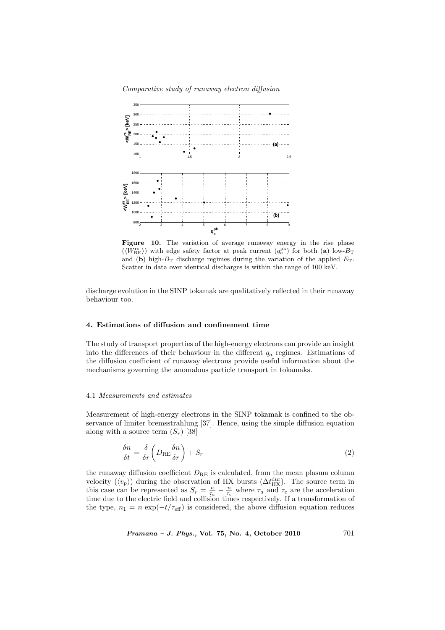

Figure 10. The variation of average runaway energy in the rise phase  $(\langle W_{\rm RE}^{\rm rs} \rangle)$  with edge safety factor at peak current  $(q_a^{\rm pk})$  for both (a) low- $B_{\rm T}$ and (b) high- $B_T$  discharge regimes during the variation of the applied  $E_T$ . Scatter in data over identical discharges is within the range of 100 keV.

discharge evolution in the SINP tokamak are qualitatively reflected in their runaway behaviour too.

## 4. Estimations of diffusion and confinement time

The study of transport properties of the high-energy electrons can provide an insight into the differences of their behaviour in the different  $q_a$  regimes. Estimations of the diffusion coefficient of runaway electrons provide useful information about the mechanisms governing the anomalous particle transport in tokamaks.

#### 4.1 Measurements and estimates

Measurement of high-energy electrons in the SINP tokamak is confined to the observance of limiter bremsstrahlung [37]. Hence, using the simple diffusion equation along with a source term  $(S_r)$  [38]

$$
\frac{\delta n}{\delta t} = \frac{\delta}{\delta r} \left( D_{\rm RE} \frac{\delta n}{\delta r} \right) + S_r \tag{2}
$$

the runaway diffusion coefficient  $D_{RE}$  is calculated, from the mean plasma column velocity  $(\langle v_{\rm p} \rangle)$  during the observation of HX bursts  $(\Delta t_{\rm HX}^{\rm dur})$ . The source term in this case can be represented as  $S_r = \frac{n}{\tau_a} - \frac{n}{\tau_c}$  where  $\tau_a$  and  $\tau_c$  are the acceleration time due to the electric field and collision times respectively. If a transformation of the type,  $n_1 = n \exp(-t/\tau_{\text{eff}})$  is considered, the above diffusion equation reduces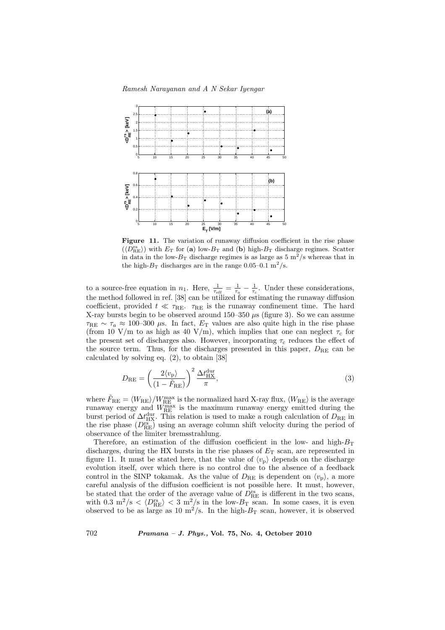

Figure 11. The variation of runaway diffusion coefficient in the rise phase  $(\langle D_{\text{RE}}^{rs} \rangle)$  with  $E_T$  for (a) low- $B_T$  and (b) high- $B_T$  discharge regimes. Scatter in data in the low- $B_T$  discharge regimes is as large as 5 m<sup>2</sup>/s whereas that in the high- $B_T$  discharges are in the range 0.05–0.1 m<sup>2</sup>/s.

to a source-free equation in  $n_1$ . Here,  $\frac{1}{\tau_{\text{eff}}} = \frac{1}{\tau_a} - \frac{1}{\tau_c}$ . Under these considerations, the method followed in ref. [38] can be utilized for estimating the runaway diffusion coefficient, provided  $t \ll \tau_{\text{RE}}$ .  $\tau_{\text{RE}}$  is the runaway confinement time. The hard X-ray bursts begin to be observed around 150–350  $\mu$ s (figure 3). So we can assume  $\tau_{\rm RE} \sim \tau_a \approx 100-300 \mu$ s. In fact,  $E_T$  values are also quite high in the rise phase (from 10 V/m to as high as 40 V/m), which implies that one can neglect  $\tau_c$  for the present set of discharges also. However, incorporating  $\tau_c$  reduces the effect of the source term. Thus, for the discharges presented in this paper,  $D_{RE}$  can be calculated by solving eq. (2), to obtain [38]

$$
D_{\rm RE} = \left(\frac{2\langle v_{\rm p}\rangle}{(1-\tilde{F}_{\rm RE})}\right)^2 \frac{\Delta t_{\rm HX}^{\rm dur}}{\pi},\tag{3}
$$

where  $\tilde{F}_{\rm RE} = \langle W_{\rm RE} \rangle / W_{\rm RE}^{\rm max}$  is the normalized hard X-ray flux,  $\langle W_{\rm RE} \rangle$  is the average runaway energy and  $W_{\text{RE}}^{\text{max}}$  is the maximum runaway energy emitted during the burst period of  $\Delta t_{\rm HX}^{\rm dur}$ . This relation is used to make a rough calculation of  $D_{\rm RE}$  in the rise phase  $(D_{\text{RE}}^{rs})$  using an average column shift velocity during the period of observance of the limiter bremsstrahlung.

Therefore, an estimation of the diffusion coefficient in the low- and high- $B_T$ discharges, during the HX bursts in the rise phases of  $E_T$  scan, are represented in figure 11. It must be stated here, that the value of  $\langle v_{p} \rangle$  depends on the discharge evolution itself, over which there is no control due to the absence of a feedback control in the SINP tokamak. As the value of  $D_{\text{RE}}$  is dependent on  $\langle v_{\text{p}} \rangle$ , a more careful analysis of the diffusion coefficient is not possible here. It must, however, be stated that the order of the average value of  $D_{\text{RE}}^{rs}$  is different in the two scans, with 0.3 m<sup>2</sup>/s  $\langle D_{\text{RE}}^{rs} \rangle$   $\langle 3 \text{ m}^2/\text{s}$  in the low- $B_T$  scan. In some cases, it is even observed to be as large as 10  $m^2/s$ . In the high- $B_T$  scan, however, it is observed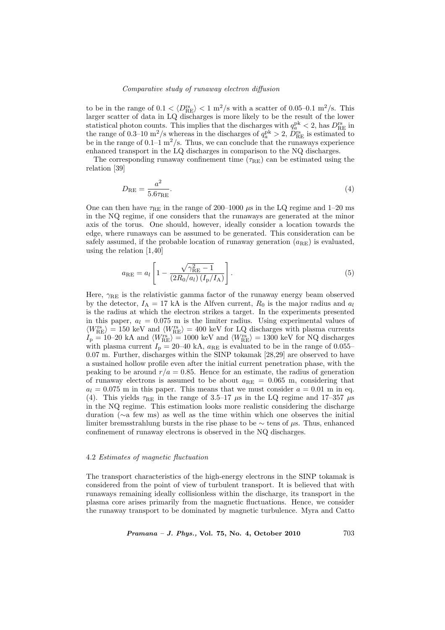to be in the range of  $0.1 < \langle D_{\text{RE}}^{\text{rs}} \rangle < 1 \text{ m}^2/\text{s}$  with a scatter of 0.05–0.1 m<sup>2</sup>/s. This larger scatter of data in LQ discharges is more likely to be the result of the lower statistical photon counts. This implies that the discharges with  $q_a^{\text{pk}} < 2$ , has  $D_{\text{RE}}^{\text{rs}}$  in the range of 0.3–10 m<sup>2</sup>/s whereas in the discharges of  $q_a^{\rm pk} > 2$ ,  $\overline{D}_{\rm RE}^{\rm rs}$  is estimated to be in the range of  $0.1-1$  m<sup>2</sup>/s. Thus, we can conclude that the runaways experience enhanced transport in the LQ discharges in comparison to the NQ discharges.

The corresponding runaway confinement time  $(\tau_{RE})$  can be estimated using the relation [39]

$$
D_{\rm RE} = \frac{a^2}{5.6\tau_{\rm RE}}.\tag{4}
$$

One can then have  $\tau_{RE}$  in the range of 200–1000  $\mu$ s in the LQ regime and 1–20 ms in the NQ regime, if one considers that the runaways are generated at the minor axis of the torus. One should, however, ideally consider a location towards the edge, where runaways can be assumed to be generated. This consideration can be safely assumed, if the probable location of runaway generation  $(a_{\text{BE}})$  is evaluated, using the relation [1,40]

$$
a_{\rm RE} = a_l \left[ 1 - \frac{\sqrt{\gamma_{\rm RE}^2 - 1}}{(2R_0/a_l)(I_{\rm P}/I_{\rm A})} \right].
$$
 (5)

Here,  $\gamma_{\text{RE}}$  is the relativistic gamma factor of the runaway energy beam observed by the detector,  $I_A = 17$  kA is the Alfven current,  $R_0$  is the major radius and  $a_l$ is the radius at which the electron strikes a target. In the experiments presented in this paper,  $a_l = 0.075$  m is the limiter radius. Using experimental values of  $\langle W_{\rm RE}^{\rm rs} \rangle = 150$  keV and  $\langle W_{\rm RE}^{\rm rs} \rangle = 400$  keV for LQ discharges with plasma currents  $I_{\rm p} = 10$ –20 kA and  $\langle W_{\rm RE}^{\rm rs} \rangle = 1000$  keV and  $\langle W_{\rm RE}^{\rm rs} \rangle = 1300$  keV for NQ discharges with plasma current  $I_p = 20-40$  kA,  $a_{RE}$  is evaluated to be in the range of 0.055– 0.07 m. Further, discharges within the SINP tokamak [28,29] are observed to have a sustained hollow profile even after the initial current penetration phase, with the peaking to be around  $r/a = 0.85$ . Hence for an estimate, the radius of generation of runaway electrons is assumed to be about  $a_{RE} = 0.065$  m, considering that  $a_l = 0.075$  m in this paper. This means that we must consider  $a = 0.01$  m in eq. (4). This yields  $\tau_{\text{RE}}$  in the range of 3.5–17  $\mu$ s in the LQ regime and 17–357  $\mu$ s in the NQ regime. This estimation looks more realistic considering the discharge duration (∼a few ms) as well as the time within which one observes the initial limiter bremsstrahlung bursts in the rise phase to be  $\sim$  tens of  $\mu$ s. Thus, enhanced confinement of runaway electrons is observed in the NQ discharges.

## 4.2 Estimates of magnetic fluctuation

The transport characteristics of the high-energy electrons in the SINP tokamak is considered from the point of view of turbulent transport. It is believed that with runaways remaining ideally collisionless within the discharge, its transport in the plasma core arises primarily from the magnetic fluctuations. Hence, we consider the runaway transport to be dominated by magnetic turbulence. Myra and Catto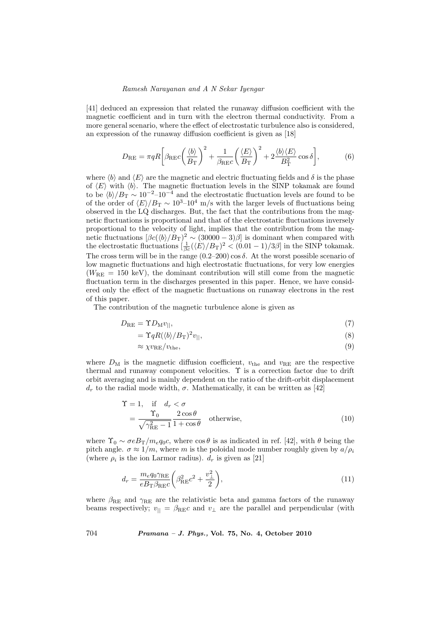[41] deduced an expression that related the runaway diffusion coefficient with the magnetic coefficient and in turn with the electron thermal conductivity. From a more general scenario, where the effect of electrostatic turbulence also is considered, an expression of the runaway diffusion coefficient is given as [18]

$$
D_{\rm RE} = \pi q R \left[ \beta_{\rm RE} c \left( \frac{\langle b \rangle}{B_{\rm T}} \right)^2 + \frac{1}{\beta_{\rm RE} c} \left( \frac{\langle E \rangle}{B_{\rm T}} \right)^2 + 2 \frac{\langle b \rangle \langle E \rangle}{B_{\rm T}^2} \cos \delta \right],\tag{6}
$$

where  $\langle b \rangle$  and  $\langle E \rangle$  are the magnetic and electric fluctuating fields and  $\delta$  is the phase of  $\langle E \rangle$  with  $\langle b \rangle$ . The magnetic fluctuation levels in the SINP tokamak are found to be  $\langle b \rangle/B_T \sim 10^{-2}$ –10<sup>-4</sup> and the electrostatic fluctuation levels are found to be of the order of  $\langle E \rangle/B_T \sim 10^{3}$ –10<sup>4</sup> m/s with the larger levels of fluctuations being observed in the LQ discharges. But, the fact that the contributions from the magnetic fluctuations is proportional and that of the electrostatic fluctuations inversely proportional to the velocity of light, implies that the contribution from the magnetic fluctuations  $[\beta c(\langle b \rangle / B_T)^2 \sim (30000 - 3)\beta]$  is dominant when compared with the electrostatic fluctuations  $\left(\frac{1}{\beta c}(\langle E \rangle / B_T)^2 \right) < (0.01 - 1)/3\beta$  in the SINP tokamak. The cross term will be in the range  $(0.2–200) \cos \delta$ . At the worst possible scenario of low magnetic fluctuations and high electrostatic fluctuations, for very low energies  $(W<sub>RE</sub> = 150 \text{ keV})$ , the dominant contribution will still come from the magnetic fluctuation term in the discharges presented in this paper. Hence, we have considered only the effect of the magnetic fluctuations on runaway electrons in the rest of this paper.

The contribution of the magnetic turbulence alone is given as

$$
D_{\rm RE} = \Upsilon D_{\rm M} v_{||},\tag{7}
$$

$$
= \Upsilon q R (\langle b \rangle / B_{\text{T}})^2 v_{||}, \tag{8}
$$

$$
\approx \chi v_{\rm RE}/v_{\rm the},\tag{9}
$$

where  $D_M$  is the magnetic diffusion coefficient,  $v_{\text{the}}$  and  $v_{\text{RE}}$  are the respective thermal and runaway component velocities. Υ is a correction factor due to drift orbit averaging and is mainly dependent on the ratio of the drift-orbit displacement  $d_r$  to the radial mode width,  $\sigma$ . Mathematically, it can be written as [42]

$$
\begin{aligned} \Upsilon &= 1, \quad \text{if} \quad d_r < \sigma \\ &= \frac{\Upsilon_0}{\sqrt{\gamma_{\text{RE}}^2 - 1}} \frac{2 \cos \theta}{1 + \cos \theta} \quad \text{otherwise}, \end{aligned} \tag{10}
$$

where  $\Upsilon_0 \sim \sigma e B_T/m_e q_0 c$ , where  $\cos \theta$  is as indicated in ref. [42], with  $\theta$  being the pitch angle.  $\sigma \approx 1/m$ , where m is the poloidal mode number roughly given by  $a/\rho_i$ (where  $\rho_i$  is the ion Larmor radius).  $d_r$  is given as [21]

$$
d_r = \frac{m_e q_0 \gamma_{\rm RE}}{e B_{\rm T} \beta_{\rm RE} c} \left( \beta_{\rm RE}^2 c^2 + \frac{v_\perp^2}{2} \right),\tag{11}
$$

where  $\beta_{\text{RE}}$  and  $\gamma_{\text{RE}}$  are the relativistic beta and gamma factors of the runaway beams respectively;  $v_{\parallel} = \beta_{\text{RE}}c$  and  $v_{\perp}$  are the parallel and perpendicular (with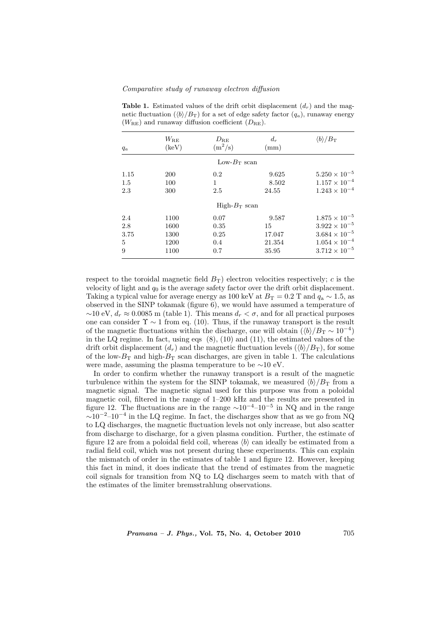| $q_a$ | $W_{\rm RE}$<br>$(\text{keV})$ | $D_\mathrm{RE}$<br>$(m^2/s)$ | $d_r$<br>(mm) | $\langle b \rangle/B_{\rm T}$ |
|-------|--------------------------------|------------------------------|---------------|-------------------------------|
|       |                                | Low- $B_T$ scan              |               |                               |
| 1.15  | <b>200</b>                     | 0.2                          | 9.625         | $5.250 \times 10^{-5}$        |
| 1.5   | 100                            | 1                            | 8.502         | $1.157 \times 10^{-4}$        |
| 2.3   | 300                            | 2.5                          | 24.55         | $1.243 \times 10^{-4}$        |
|       |                                | $High-BT$ scan               |               |                               |
| 2.4   | 1100                           | 0.07                         | 9.587         | $1.875 \times 10^{-5}$        |
| 2.8   | 1600                           | 0.35                         | 15            | $3.922 \times 10^{-5}$        |
| 3.75  | 1300                           | 0.25                         | 17.047        | $3.684 \times 10^{-5}$        |
| 5     | 1200                           | 0.4                          | 21.354        | $1.054 \times 10^{-4}$        |
| 9     | 1100                           | 0.7                          | 35.95         | $3.712 \times 10^{-5}$        |

Table 1. Estimated values of the drift orbit displacement  $(d_r)$  and the magnetic fluctuation  $(\langle b \rangle / B_T)$  for a set of edge safety factor  $(q_a)$ , runaway energy  $(W_{\text{RE}})$  and runaway diffusion coefficient  $(D_{\text{RE}})$ .

respect to the toroidal magnetic field  $B_T$ ) electron velocities respectively; c is the velocity of light and  $q_0$  is the average safety factor over the drift orbit displacement. Taking a typical value for average energy as 100 keV at  $B_T = 0.2$  T and  $q_a \sim 1.5$ , as observed in the SINP tokamak (figure 6), we would have assumed a temperature of  $\sim$ 10 eV,  $d_r \approx 0.0085$  m (table 1). This means  $d_r < \sigma$ , and for all practical purposes one can consider  $\Upsilon \sim 1$  from eq. (10). Thus, if the runaway transport is the result of the magnetic fluctuations within the discharge, one will obtain  $(\langle b \rangle/B_T \sim 10^{-4})$ in the LQ regime. In fact, using eqs (8), (10) and (11), the estimated values of the drift orbit displacement  $(d_r)$  and the magnetic fluctuation levels  $(\langle b \rangle / B_T)$ , for some of the low- $B_T$  and high- $B_T$  scan discharges, are given in table 1. The calculations were made, assuming the plasma temperature to be ∼10 eV.

In order to confirm whether the runaway transport is a result of the magnetic turbulence within the system for the SINP tokamak, we measured  $\langle b \rangle / B_T$  from a magnetic signal. The magnetic signal used for this purpose was from a poloidal magnetic coil, filtered in the range of 1–200 kHz and the results are presented in figure 12. The fluctuations are in the range  $\sim 10^{-4}$ – $10^{-5}$  in NQ and in the range  $\sim 10^{-2}$ –10<sup>-4</sup> in the LQ regime. In fact, the discharges show that as we go from NQ to LQ discharges, the magnetic fluctuation levels not only increase, but also scatter from discharge to discharge, for a given plasma condition. Further, the estimate of figure 12 are from a poloidal field coil, whereas  $\langle b \rangle$  can ideally be estimated from a radial field coil, which was not present during these experiments. This can explain the mismatch of order in the estimates of table 1 and figure 12. However, keeping this fact in mind, it does indicate that the trend of estimates from the magnetic coil signals for transition from NQ to LQ discharges seem to match with that of the estimates of the limiter bremsstrahlung observations.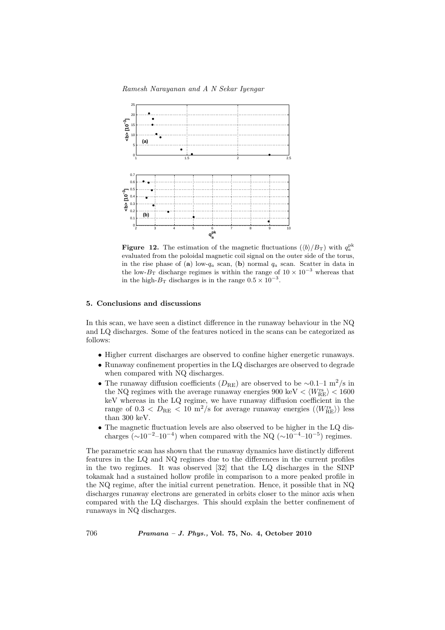

**Figure 12.** The estimation of the magnetic fluctuations  $(\langle b \rangle / B_T)$  with  $q_a^{\text{pk}}$ evaluated from the poloidal magnetic coil signal on the outer side of the torus, in the rise phase of (a) low- $q_a$  scan, (b) normal  $q_a$  scan. Scatter in data in the low- $B_T$  discharge regimes is within the range of  $10 \times 10^{-3}$  whereas that in the high- $B_T$  discharges is in the range  $0.5 \times 10^{-3}$ .

#### 5. Conclusions and discussions

In this scan, we have seen a distinct difference in the runaway behaviour in the NQ and LQ discharges. Some of the features noticed in the scans can be categorized as follows:

- Higher current discharges are observed to confine higher energetic runaways.
- Runaway confinement properties in the LQ discharges are observed to degrade when compared with NQ discharges.
- The runaway diffusion coefficients  $(D_{RE})$  are observed to be ∼0.1–1 m<sup>2</sup>/s in the NQ regimes with the average runaway energies 900 keV  $< \langle W_{\rm RE}^{\rm rs} \rangle < 1600$ keV whereas in the LQ regime, we have runaway diffusion coefficient in the range of  $0.3 < D_{\rm RE} < 10 \text{ m}^2/\text{s}$  for average runaway energies  $(\langle W_{\rm RE}^{\rm rs} \rangle)$  less than 300 keV.
- The magnetic fluctuation levels are also observed to be higher in the LQ discharges ( $\sim 10^{-2}$ –10<sup>-4</sup>) when compared with the NQ ( $\sim 10^{-4}$ –10<sup>-5</sup>) regimes.

The parametric scan has shown that the runaway dynamics have distinctly different features in the LQ and NQ regimes due to the differences in the current profiles in the two regimes. It was observed [32] that the LQ discharges in the SINP tokamak had a sustained hollow profile in comparison to a more peaked profile in the NQ regime, after the initial current penetration. Hence, it possible that in NQ discharges runaway electrons are generated in orbits closer to the minor axis when compared with the LQ discharges. This should explain the better confinement of runaways in NQ discharges.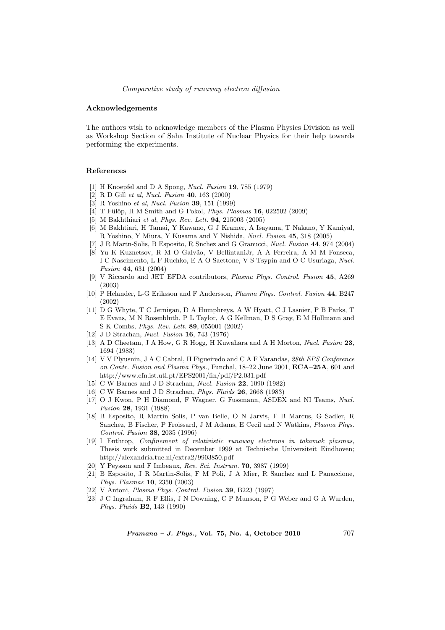#### Acknowledgements

The authors wish to acknowledge members of the Plasma Physics Division as well as Workshop Section of Saha Institute of Nuclear Physics for their help towards performing the experiments.

#### References

- [1] H Knoepfel and D A Spong, Nucl. Fusion 19, 785 (1979)
- [2] R D Gill et al, Nucl. Fusion 40, 163 (2000)
- [3] R Yoshino et al, Nucl. Fusion 39, 151 (1999)
- [4] T Fülöp, H M Smith and G Pokol, *Phys. Plasmas* **16**, 022502 (2009)
- [5] M Bakhthiari et al, Phys. Rev. Lett. 94, 215003 (2005)
- [6] M Bakhtiari, H Tamai, Y Kawano, G J Kramer, A Isayama, T Nakano, Y Kamiyal, R Yoshino, Y Miura, Y Kusama and Y Nishida, Nucl. Fusion 45, 318 (2005)
- [7] J R Martn-Solis, B Esposito, R Snchez and G Granucci, Nucl. Fusion 44, 974 (2004)
- [8] Yu K Kuznetsov, R M O Galvão, V BellintaniJr, A A Ferreira, A M M Fonseca, I C Nascimento, L F Ruchko, E A O Saettone, V S Tsypin and O C Usuriaga, Nucl. Fusion 44, 631 (2004)
- [9] V Riccardo and JET EFDA contributors, Plasma Phys. Control. Fusion 45, A269 (2003)
- [10] P Helander, L-G Eriksson and F Andersson, Plasma Phys. Control. Fusion 44, B247 (2002)
- [11] D G Whyte, T C Jernigan, D A Humphreys, A W Hyatt, C J Lasnier, P B Parks, T E Evans, M N Rosenbluth, P L Taylor, A G Kellman, D S Gray, E M Hollmann and S K Combs, Phys. Rev. Lett. 89, 055001 (2002)
- [12] J D Strachan, Nucl. Fusion 16, 743 (1976)
- [13] A D Cheetam, J A How, G R Hogg, H Kuwahara and A H Morton, Nucl. Fusion 23, 1694 (1983)
- [14] V V Plyusnin, J A C Cabral, H Figueiredo and C A F Varandas, 28th EPS Conference on Contr. Fusion and Plasma Phys., Funchal, 18–22 June 2001, ECA–25A, 601 and http://www.cfn.ist.utl.pt/EPS2001/fin/pdf/P2.031.pdf
- [15] C W Barnes and J D Strachan, Nucl. Fusion 22, 1090 (1982)
- [16] C W Barnes and J D Strachan, Phys. Fluids 26, 2668 (1983)
- [17] O J Kwon, P H Diamond, F Wagner, G Fussmann, ASDEX and NI Teams, Nucl. Fusion 28, 1931 (1988)
- [18] B Esposito, R Martin Solis, P van Belle, O N Jarvis, F B Marcus, G Sadler, R Sanchez, B Fischer, P Froissard, J M Adams, E Cecil and N Watkins, Plasma Phys. Control. Fusion 38, 2035 (1996)
- [19] I Enthrop, Confinement of relativistic runaway electrons in tokamak plasmas, Thesis work submitted in December 1999 at Technische Universiteit Eindhoven; http://alexandria.tue.nl/extra2/9903850.pdf
- [20] Y Peysson and F Imbeaux, Rev. Sci. Instrum. 70, 3987 (1999)
- [21] B Esposito, J R Martin-Solis, F M Poli, J A Mier, R Sanchez and L Panaccione, Phys. Plasmas 10, 2350 (2003)
- [22] V Antoni, Plasma Phys. Control. Fusion 39, B223 (1997)
- [23] J C Ingraham, R F Ellis, J N Downing, C P Munson, P G Weber and G A Wurden, Phys. Fluids B2, 143 (1990)